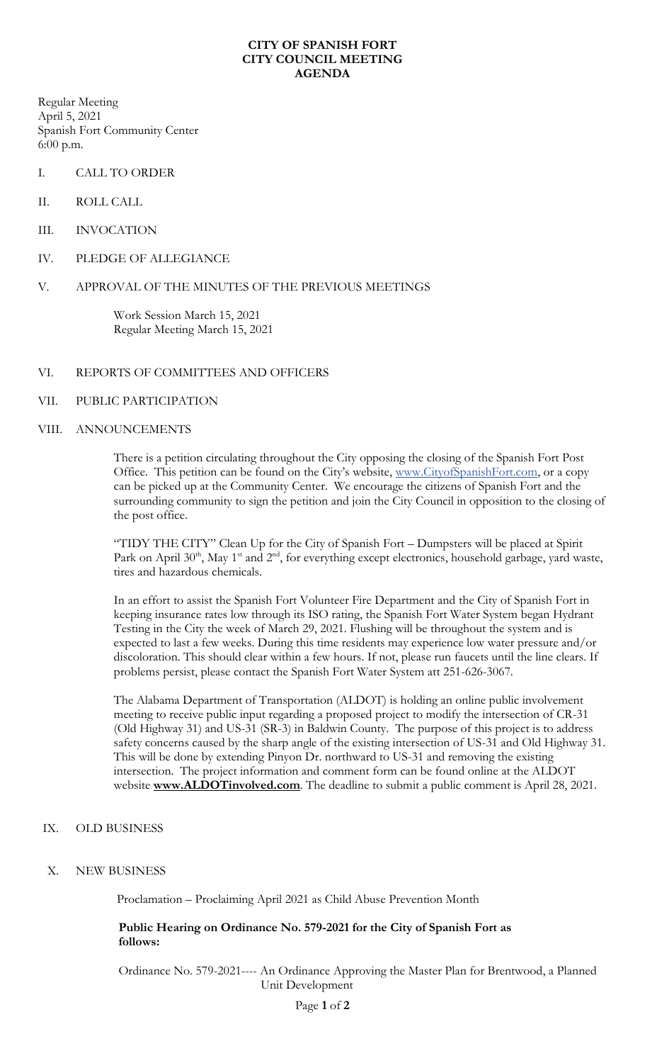## **CITY OF SPANISH FORT CITY COUNCIL MEETING AGENDA**

Regular Meeting April 5, 2021 Spanish Fort Community Center 6:00 p.m.

- I. CALL TO ORDER
- II. ROLL CALL
- III. INVOCATION
- IV. PLEDGE OF ALLEGIANCE

## V. APPROVAL OF THE MINUTES OF THE PREVIOUS MEETINGS

Work Session March 15, 2021 Regular Meeting March 15, 2021

## VI. REPORTS OF COMMITTEES AND OFFICERS

### VII. PUBLIC PARTICIPATION

#### VIII. ANNOUNCEMENTS

There is a petition circulating throughout the City opposing the closing of the Spanish Fort Post Office. This petition can be found on the City's website, [www.CityofSpanishFort.com,](http://www.cityofspanishfort.com/) or a copy can be picked up at the Community Center. We encourage the citizens of Spanish Fort and the surrounding community to sign the petition and join the City Council in opposition to the closing of the post office.

"TIDY THE CITY" Clean Up for the City of Spanish Fort – Dumpsters will be placed at Spirit Park on April 30<sup>th</sup>, May 1<sup>st</sup> and 2<sup>nd</sup>, for everything except electronics, household garbage, yard waste, tires and hazardous chemicals.

In an effort to assist the Spanish Fort Volunteer Fire Department and the City of Spanish Fort in keeping insurance rates low through its ISO rating, the Spanish Fort Water System began Hydrant Testing in the City the week of March 29, 2021. Flushing will be throughout the system and is expected to last a few weeks. During this time residents may experience low water pressure and/or discoloration. This should clear within a few hours. If not, please run faucets until the line clears. If problems persist, please contact the Spanish Fort Water System att 251-626-3067.

The Alabama Department of Transportation (ALDOT) is holding an online public involvement meeting to receive public input regarding a proposed project to modify the intersection of CR-31 (Old Highway 31) and US-31 (SR-3) in Baldwin County. The purpose of this project is to address safety concerns caused by the sharp angle of the existing intersection of US-31 and Old Highway 31. This will be done by extending Pinyon Dr. northward to US-31 and removing the existing intersection. The project information and comment form can be found online at the ALDOT website **[www.ALDOTinvolved.com](http://www.aldotinvolved.com/)**. The deadline to submit a public comment is April 28, 2021.

#### IX. OLD BUSINESS

#### X. NEW BUSINESS

Proclamation – Proclaiming April 2021 as Child Abuse Prevention Month

# **Public Hearing on Ordinance No. 579-2021 for the City of Spanish Fort as follows:**

Ordinance No. 579-2021---- An Ordinance Approving the Master Plan for Brentwood, a Planned Unit Development

Page **1** of **2**